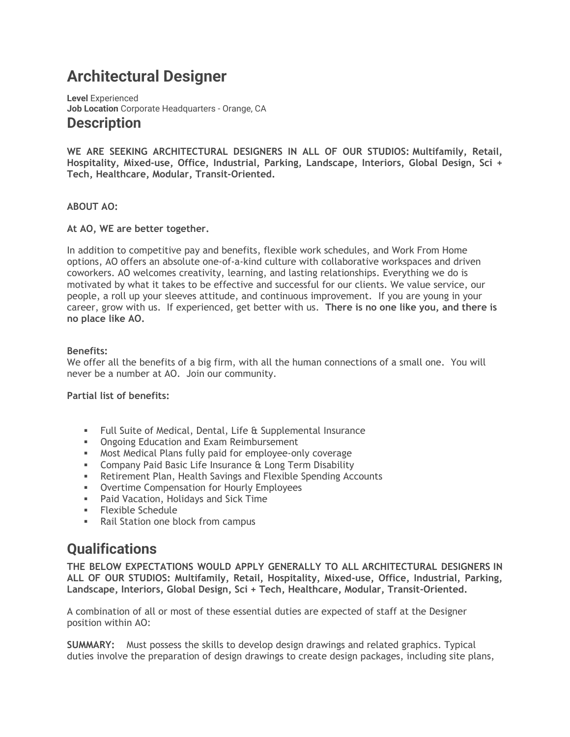# **Architectural Designer**

**Level** Experienced **Job Location** Corporate Headquarters - Orange, CA **Description**

**WE ARE SEEKING ARCHITECTURAL DESIGNERS IN ALL OF OUR STUDIOS: Multifamily, Retail, Hospitality, Mixed-use, Office, Industrial, Parking, Landscape, Interiors, Global Design, Sci + Tech, Healthcare, Modular, Transit-Oriented.**

#### **ABOUT AO:**

#### **At AO, WE are better together.**

In addition to competitive pay and benefits, flexible work schedules, and Work From Home options, AO offers an absolute one-of-a-kind culture with collaborative workspaces and driven coworkers. AO welcomes creativity, learning, and lasting relationships. Everything we do is motivated by what it takes to be effective and successful for our clients. We value service, our people, a roll up your sleeves attitude, and continuous improvement. If you are young in your career, grow with us. If experienced, get better with us. **There is no one like you, and there is no place like AO.**

#### **Benefits:**

We offer all the benefits of a big firm, with all the human connections of a small one. You will never be a number at AO. Join our community.

#### **Partial list of benefits:**

- Full Suite of Medical, Dental, Life & Supplemental Insurance
- **Ongoing Education and Exam Reimbursement**
- Most Medical Plans fully paid for employee-only coverage
- **EXECOMPANY Paid Basic Life Insurance & Long Term Disability**
- **EXECT:** Retirement Plan, Health Savings and Flexible Spending Accounts
- Overtime Compensation for Hourly Employees
- Paid Vacation, Holidays and Sick Time
- Flexible Schedule
- Rail Station one block from campus

## **Qualifications**

**THE BELOW EXPECTATIONS WOULD APPLY GENERALLY TO ALL ARCHITECTURAL DESIGNERS IN ALL OF OUR STUDIOS: Multifamily, Retail, Hospitality, Mixed-use, Office, Industrial, Parking, Landscape, Interiors, Global Design, Sci + Tech, Healthcare, Modular, Transit-Oriented.**

A combination of all or most of these essential duties are expected of staff at the Designer position within AO:

**SUMMARY:** Must possess the skills to develop design drawings and related graphics. Typical duties involve the preparation of design drawings to create design packages, including site plans,